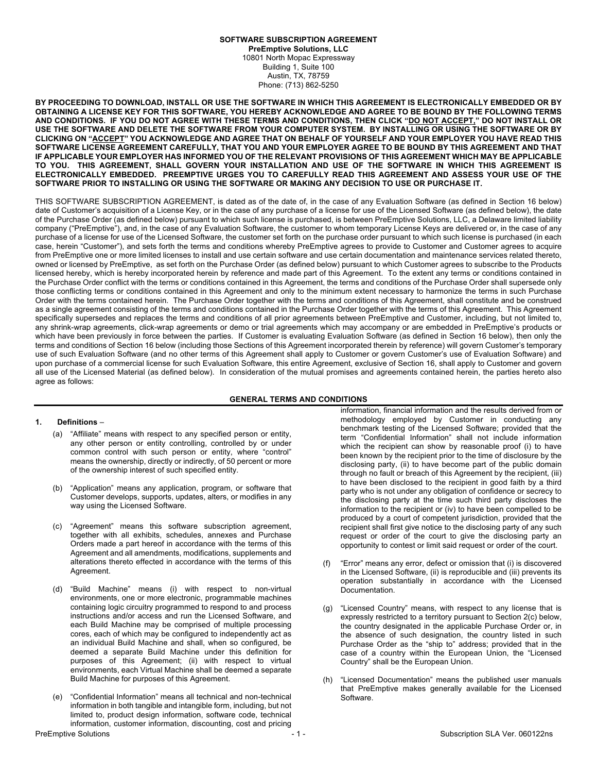# **SOFTWARE SUBSCRIPTION AGREEMENT**

**PreEmptive Solutions, LLC** 10801 North Mopac Expressway Building 1, Suite 100 Austin, TX, 78759 Phone: (713) 862-5250

**BY PROCEEDING TO DOWNLOAD, INSTALL OR USE THE SOFTWARE IN WHICH THIS AGREEMENT IS ELECTRONICALLY EMBEDDED OR BY OBTAINING A LICENSE KEY FOR THIS SOFTWARE, YOU HEREBY ACKNOWLEDGE AND AGREE TO BE BOUND BY THE FOLLOWING TERMS AND CONDITIONS. IF YOU DO NOT AGREE WITH THESE TERMS AND CONDITIONS, THEN CLICK "DO NOT ACCEPT," DO NOT INSTALL OR USE THE SOFTWARE AND DELETE THE SOFTWARE FROM YOUR COMPUTER SYSTEM. BY INSTALLING OR USING THE SOFTWARE OR BY CLICKING ON "ACCEPT" YOU ACKNOWLEDGE AND AGREE THAT ON BEHALF OF YOURSELF AND YOUR EMPLOYER YOU HAVE READ THIS SOFTWARE LICENSE AGREEMENT CAREFULLY, THAT YOU AND YOUR EMPLOYER AGREE TO BE BOUND BY THIS AGREEMENT AND THAT IF APPLICABLE YOUR EMPLOYER HAS INFORMED YOU OF THE RELEVANT PROVISIONS OF THIS AGREEMENT WHICH MAY BE APPLICABLE TO YOU. THIS AGREEMENT, SHALL GOVERN YOUR INSTALLATION AND USE OF THE SOFTWARE IN WHICH THIS AGREEMENT IS ELECTRONICALLY EMBEDDED. PREEMPTIVE URGES YOU TO CAREFULLY READ THIS AGREEMENT AND ASSESS YOUR USE OF THE SOFTWARE PRIOR TO INSTALLING OR USING THE SOFTWARE OR MAKING ANY DECISION TO USE OR PURCHASE IT.**

THIS SOFTWARE SUBSCRIPTION AGREEMENT, is dated as of the date of, in the case of any Evaluation Software (as defined in Section 16 below) date of Customer's acquisition of a License Key, or in the case of any purchase of a license for use of the Licensed Software (as defined below), the date of the Purchase Order (as defined below) pursuant to which such license is purchased, is between PreEmptive Solutions, LLC, a Delaware limited liability company ("PreEmptive"), and, in the case of any Evaluation Software, the customer to whom temporary License Keys are delivered or, in the case of any purchase of a license for use of the Licensed Software, the customer set forth on the purchase order pursuant to which such license is purchased (in each case, herein "Customer"), and sets forth the terms and conditions whereby PreEmptive agrees to provide to Customer and Customer agrees to acquire from PreEmptive one or more limited licenses to install and use certain software and use certain documentation and maintenance services related thereto, owned or licensed by PreEmptive, as set forth on the Purchase Order (as defined below) pursuant to which Customer agrees to subscribe to the Products licensed hereby, which is hereby incorporated herein by reference and made part of this Agreement. To the extent any terms or conditions contained in the Purchase Order conflict with the terms or conditions contained in this Agreement, the terms and conditions of the Purchase Order shall supersede only those conflicting terms or conditions contained in this Agreement and only to the minimum extent necessary to harmonize the terms in such Purchase Order with the terms contained herein. The Purchase Order together with the terms and conditions of this Agreement, shall constitute and be construed as a single agreement consisting of the terms and conditions contained in the Purchase Order together with the terms of this Agreement. This Agreement specifically supersedes and replaces the terms and conditions of all prior agreements between PreEmptive and Customer, including, but not limited to, any shrink-wrap agreements, click-wrap agreements or demo or trial agreements which may accompany or are embedded in PreEmptive's products or which have been previously in force between the parties. If Customer is evaluating Evaluation Software (as defined in Section 16 below), then only the terms and conditions of Section 16 below (including those Sections of this Agreement incorporated therein by reference) will govern Customer's temporary use of such Evaluation Software (and no other terms of this Agreement shall apply to Customer or govern Customer's use of Evaluation Software) and upon purchase of a commercial license for such Evaluation Software, this entire Agreement, exclusive of Section 16, shall apply to Customer and govern all use of the Licensed Material (as defined below). In consideration of the mutual promises and agreements contained herein, the parties hereto also agree as follows:

### **GENERAL TERMS AND CONDITIONS**

### **1. Definitions** –

- (a) "Affiliate" means with respect to any specified person or entity, any other person or entity controlling, controlled by or under common control with such person or entity, where "control" means the ownership, directly or indirectly, of 50 percent or more of the ownership interest of such specified entity.
- (b) "Application" means any application, program, or software that Customer develops, supports, updates, alters, or modifies in any way using the Licensed Software.
- (c) "Agreement" means this software subscription agreement, together with all exhibits, schedules, annexes and Purchase Orders made a part hereof in accordance with the terms of this Agreement and all amendments, modifications, supplements and alterations thereto effected in accordance with the terms of this Agreement.
- (d) "Build Machine" means (i) with respect to non-virtual environments, one or more electronic, programmable machines containing logic circuitry programmed to respond to and process instructions and/or access and run the Licensed Software, and each Build Machine may be comprised of multiple processing cores, each of which may be configured to independently act as an individual Build Machine and shall, when so configured, be deemed a separate Build Machine under this definition for purposes of this Agreement; (ii) with respect to virtual environments, each Virtual Machine shall be deemed a separate Build Machine for purposes of this Agreement.
- (e) "Confidential Information" means all technical and non-technical information in both tangible and intangible form, including, but not limited to, product design information, software code, technical information, customer information, discounting, cost and pricing

information, financial information and the results derived from or methodology employed by Customer in conducting any benchmark testing of the Licensed Software; provided that the term "Confidential Information" shall not include information which the recipient can show by reasonable proof (i) to have been known by the recipient prior to the time of disclosure by the disclosing party, (ii) to have become part of the public domain through no fault or breach of this Agreement by the recipient, (iii) to have been disclosed to the recipient in good faith by a third party who is not under any obligation of confidence or secrecy to the disclosing party at the time such third party discloses the information to the recipient or (iv) to have been compelled to be produced by a court of competent jurisdiction, provided that the recipient shall first give notice to the disclosing party of any such request or order of the court to give the disclosing party an opportunity to contest or limit said request or order of the court.

- (f) "Error" means any error, defect or omission that (i) is discovered in the Licensed Software, (ii) is reproducible and (iii) prevents its operation substantially in accordance with the Licensed Documentation.
- (g) "Licensed Country" means, with respect to any license that is expressly restricted to a territory pursuant to Section 2(c) below, the country designated in the applicable Purchase Order or, in the absence of such designation, the country listed in such Purchase Order as the "ship to" address; provided that in the case of a country within the European Union, the "Licensed Country" shall be the European Union.
- (h) "Licensed Documentation" means the published user manuals that PreEmptive makes generally available for the Licensed Software.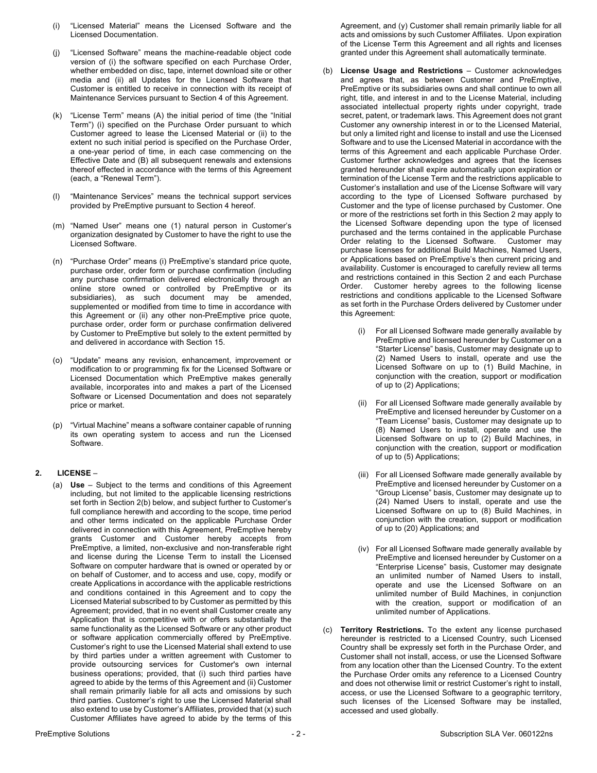- (i) "Licensed Material" means the Licensed Software and the Licensed Documentation.
- (j) "Licensed Software" means the machine-readable object code version of (i) the software specified on each Purchase Order, whether embedded on disc, tape, internet download site or other media and (ii) all Updates for the Licensed Software that Customer is entitled to receive in connection with its receipt of Maintenance Services pursuant to Section 4 of this Agreement.
- (k) "License Term" means (A) the initial period of time (the "Initial Term") (i) specified on the Purchase Order pursuant to which Customer agreed to lease the Licensed Material or (ii) to the extent no such initial period is specified on the Purchase Order, a one-year period of time, in each case commencing on the Effective Date and (B) all subsequent renewals and extensions thereof effected in accordance with the terms of this Agreement (each, a "Renewal Term").
- (l) "Maintenance Services" means the technical support services provided by PreEmptive pursuant to Section 4 hereof.
- (m) "Named User" means one (1) natural person in Customer's organization designated by Customer to have the right to use the Licensed Software.
- (n) "Purchase Order" means (i) PreEmptive's standard price quote, purchase order, order form or purchase confirmation (including any purchase confirmation delivered electronically through an online store owned or controlled by PreEmptive or its subsidiaries), as such document may be amended, supplemented or modified from time to time in accordance with this Agreement or (ii) any other non-PreEmptive price quote, purchase order, order form or purchase confirmation delivered by Customer to PreEmptive but solely to the extent permitted by and delivered in accordance with Section 15.
- (o) "Update" means any revision, enhancement, improvement or modification to or programming fix for the Licensed Software or Licensed Documentation which PreEmptive makes generally available, incorporates into and makes a part of the Licensed Software or Licensed Documentation and does not separately price or market.
- (p) "Virtual Machine" means a software container capable of running its own operating system to access and run the Licensed Software.

# **2. LICENSE** –

(a) **Use** – Subject to the terms and conditions of this Agreement including, but not limited to the applicable licensing restrictions set forth in Section 2(b) below, and subject further to Customer's full compliance herewith and according to the scope, time period and other terms indicated on the applicable Purchase Order delivered in connection with this Agreement, PreEmptive hereby grants Customer and Customer hereby accepts from PreEmptive, a limited, non-exclusive and non-transferable right and license during the License Term to install the Licensed Software on computer hardware that is owned or operated by or on behalf of Customer, and to access and use, copy, modify or create Applications in accordance with the applicable restrictions and conditions contained in this Agreement and to copy the Licensed Material subscribed to by Customer as permitted by this Agreement; provided, that in no event shall Customer create any Application that is competitive with or offers substantially the same functionality as the Licensed Software or any other product or software application commercially offered by PreEmptive. Customer's right to use the Licensed Material shall extend to use by third parties under a written agreement with Customer to provide outsourcing services for Customer's own internal business operations; provided, that (i) such third parties have agreed to abide by the terms of this Agreement and (ii) Customer shall remain primarily liable for all acts and omissions by such third parties. Customer's right to use the Licensed Material shall also extend to use by Customer's Affiliates, provided that (x) such Customer Affiliates have agreed to abide by the terms of this

Agreement, and (y) Customer shall remain primarily liable for all acts and omissions by such Customer Affiliates. Upon expiration of the License Term this Agreement and all rights and licenses granted under this Agreement shall automatically terminate.

- (b) **License Usage and Restrictions** Customer acknowledges and agrees that, as between Customer and PreEmptive, PreEmptive or its subsidiaries owns and shall continue to own all right, title, and interest in and to the License Material, including associated intellectual property rights under copyright, trade secret, patent, or trademark laws. This Agreement does not grant Customer any ownership interest in or to the Licensed Material, but only a limited right and license to install and use the Licensed Software and to use the Licensed Material in accordance with the terms of this Agreement and each applicable Purchase Order. Customer further acknowledges and agrees that the licenses granted hereunder shall expire automatically upon expiration or termination of the License Term and the restrictions applicable to Customer's installation and use of the License Software will vary according to the type of Licensed Software purchased by Customer and the type of license purchased by Customer. One or more of the restrictions set forth in this Section 2 may apply to the Licensed Software depending upon the type of licensed purchased and the terms contained in the applicable Purchase Order relating to the Licensed Software. Customer may purchase licenses for additional Build Machines, Named Users, or Applications based on PreEmptive's then current pricing and availability. Customer is encouraged to carefully review all terms and restrictions contained in this Section 2 and each Purchase Order. Customer hereby agrees to the following license restrictions and conditions applicable to the Licensed Software as set forth in the Purchase Orders delivered by Customer under this Agreement:
	- (i) For all Licensed Software made generally available by PreEmptive and licensed hereunder by Customer on a "Starter License" basis, Customer may designate up to (2) Named Users to install, operate and use the Licensed Software on up to (1) Build Machine, in conjunction with the creation, support or modification of up to (2) Applications;
	- (ii) For all Licensed Software made generally available by PreEmptive and licensed hereunder by Customer on a "Team License" basis, Customer may designate up to (8) Named Users to install, operate and use the Licensed Software on up to (2) Build Machines, in conjunction with the creation, support or modification of up to (5) Applications;
	- (iii) For all Licensed Software made generally available by PreEmptive and licensed hereunder by Customer on a "Group License" basis, Customer may designate up to (24) Named Users to install, operate and use the Licensed Software on up to (8) Build Machines, in conjunction with the creation, support or modification of up to (20) Applications; and
	- (iv) For all Licensed Software made generally available by PreEmptive and licensed hereunder by Customer on a "Enterprise License" basis, Customer may designate an unlimited number of Named Users to install, operate and use the Licensed Software on an unlimited number of Build Machines, in conjunction with the creation, support or modification of an unlimited number of Applications.
- (c) **Territory Restrictions.** To the extent any license purchased hereunder is restricted to a Licensed Country, such Licensed Country shall be expressly set forth in the Purchase Order, and Customer shall not install, access, or use the Licensed Software from any location other than the Licensed Country. To the extent the Purchase Order omits any reference to a Licensed Country and does not otherwise limit or restrict Customer's right to install, access, or use the Licensed Software to a geographic territory, such licenses of the Licensed Software may be installed, accessed and used globally.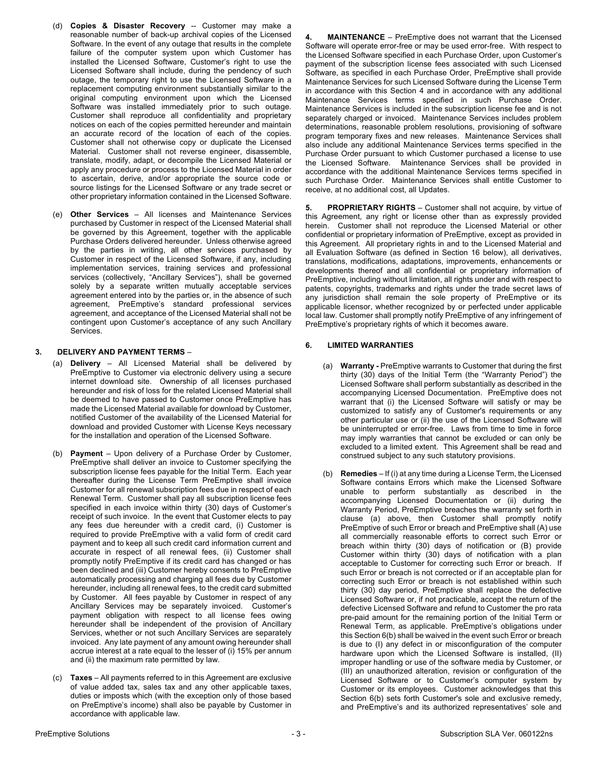- (d) **Copies & Disaster Recovery** -- Customer may make a reasonable number of back-up archival copies of the Licensed Software. In the event of any outage that results in the complete failure of the computer system upon which Customer has installed the Licensed Software, Customer's right to use the Licensed Software shall include, during the pendency of such outage, the temporary right to use the Licensed Software in a replacement computing environment substantially similar to the original computing environment upon which the Licensed Software was installed immediately prior to such outage. Customer shall reproduce all confidentiality and proprietary notices on each of the copies permitted hereunder and maintain an accurate record of the location of each of the copies. Customer shall not otherwise copy or duplicate the Licensed Material. Customer shall not reverse engineer, disassemble, translate, modify, adapt, or decompile the Licensed Material or apply any procedure or process to the Licensed Material in order to ascertain, derive, and/or appropriate the source code or source listings for the Licensed Software or any trade secret or other proprietary information contained in the Licensed Software.
- (e) **Other Services**  All licenses and Maintenance Services purchased by Customer in respect of the Licensed Material shall be governed by this Agreement, together with the applicable Purchase Orders delivered hereunder. Unless otherwise agreed by the parties in writing, all other services purchased by Customer in respect of the Licensed Software, if any, including implementation services, training services and professional services (collectively, "Ancillary Services"), shall be governed solely by a separate written mutually acceptable services agreement entered into by the parties or, in the absence of such agreement, PreEmptive's standard professional services agreement, and acceptance of the Licensed Material shall not be contingent upon Customer's acceptance of any such Ancillary Services.

# **3. DELIVERY AND PAYMENT TERMS** –

- (a) **Delivery** All Licensed Material shall be delivered by PreEmptive to Customer via electronic delivery using a secure internet download site. Ownership of all licenses purchased hereunder and risk of loss for the related Licensed Material shall be deemed to have passed to Customer once PreEmptive has made the Licensed Material available for download by Customer, notified Customer of the availability of the Licensed Material for download and provided Customer with License Keys necessary for the installation and operation of the Licensed Software.
- (b) **Payment** Upon delivery of a Purchase Order by Customer, PreEmptive shall deliver an invoice to Customer specifying the subscription license fees payable for the Initial Term. Each year thereafter during the License Term PreEmptive shall invoice Customer for all renewal subscription fees due in respect of each Renewal Term. Customer shall pay all subscription license fees specified in each invoice within thirty (30) days of Customer's receipt of such invoice. In the event that Customer elects to pay any fees due hereunder with a credit card, (i) Customer is required to provide PreEmptive with a valid form of credit card payment and to keep all such credit card information current and accurate in respect of all renewal fees, (ii) Customer shall promptly notify PreEmptive if its credit card has changed or has been declined and (iii) Customer hereby consents to PreEmptive automatically processing and charging all fees due by Customer hereunder, including all renewal fees, to the credit card submitted by Customer. All fees payable by Customer in respect of any Ancillary Services may be separately invoiced. Customer's payment obligation with respect to all license fees owing hereunder shall be independent of the provision of Ancillary Services, whether or not such Ancillary Services are separately invoiced. Any late payment of any amount owing hereunder shall accrue interest at a rate equal to the lesser of (i) 15% per annum and (ii) the maximum rate permitted by law.
- (c) **Taxes** All payments referred to in this Agreement are exclusive of value added tax, sales tax and any other applicable taxes, duties or imposts which (with the exception only of those based on PreEmptive's income) shall also be payable by Customer in accordance with applicable law.

**4. MAINTENANCE** – PreEmptive does not warrant that the Licensed Software will operate error-free or may be used error-free. With respect to the Licensed Software specified in each Purchase Order, upon Customer's payment of the subscription license fees associated with such Licensed Software, as specified in each Purchase Order, PreEmptive shall provide Maintenance Services for such Licensed Software during the License Term in accordance with this Section 4 and in accordance with any additional Maintenance Services terms specified in such Purchase Order. Maintenance Services is included in the subscription license fee and is not separately charged or invoiced. Maintenance Services includes problem determinations, reasonable problem resolutions, provisioning of software program temporary fixes and new releases. Maintenance Services shall also include any additional Maintenance Services terms specified in the Purchase Order pursuant to which Customer purchased a license to use the Licensed Software. Maintenance Services shall be provided in accordance with the additional Maintenance Services terms specified in such Purchase Order. Maintenance Services shall entitle Customer to receive, at no additional cost, all Updates.

**5. PROPRIETARY RIGHTS** – Customer shall not acquire, by virtue of this Agreement, any right or license other than as expressly provided herein. Customer shall not reproduce the Licensed Material or other confidential or proprietary information of PreEmptive, except as provided in this Agreement. All proprietary rights in and to the Licensed Material and all Evaluation Software (as defined in Section 16 below), all derivatives, translations, modifications, adaptations, improvements, enhancements or developments thereof and all confidential or proprietary information of PreEmptive, including without limitation, all rights under and with respect to patents, copyrights, trademarks and rights under the trade secret laws of any jurisdiction shall remain the sole property of PreEmptive or its applicable licensor, whether recognized by or perfected under applicable local law. Customer shall promptly notify PreEmptive of any infringement of PreEmptive's proprietary rights of which it becomes aware.

# **6. LIMITED WARRANTIES**

- (a) **Warranty -** PreEmptive warrants to Customer that during the first thirty (30) days of the Initial Term (the "Warranty Period") the Licensed Software shall perform substantially as described in the accompanying Licensed Documentation. PreEmptive does not warrant that (i) the Licensed Software will satisfy or may be customized to satisfy any of Customer's requirements or any other particular use or (ii) the use of the Licensed Software will be uninterrupted or error-free. Laws from time to time in force may imply warranties that cannot be excluded or can only be excluded to a limited extent. This Agreement shall be read and construed subject to any such statutory provisions.
- (b) **Remedies**  If (i) at any time during a License Term, the Licensed Software contains Errors which make the Licensed Software unable to perform substantially as described in the accompanying Licensed Documentation or (ii) during the Warranty Period, PreEmptive breaches the warranty set forth in clause (a) above, then Customer shall promptly notify PreEmptive of such Error or breach and PreEmptive shall (A) use all commercially reasonable efforts to correct such Error or breach within thirty (30) days of notification or (B) provide Customer within thirty (30) days of notification with a plan acceptable to Customer for correcting such Error or breach. If such Error or breach is not corrected or if an acceptable plan for correcting such Error or breach is not established within such thirty (30) day period, PreEmptive shall replace the defective Licensed Software or, if not practicable, accept the return of the defective Licensed Software and refund to Customer the pro rata pre-paid amount for the remaining portion of the Initial Term or Renewal Term, as applicable. PreEmptive's obligations under this Section 6(b) shall be waived in the event such Error or breach is due to (I) any defect in or misconfiguration of the computer hardware upon which the Licensed Software is installed, (II) improper handling or use of the software media by Customer, or (III) an unauthorized alteration, revision or configuration of the Licensed Software or to Customer's computer system by Customer or its employees. Customer acknowledges that this Section 6(b) sets forth Customer's sole and exclusive remedy, and PreEmptive's and its authorized representatives' sole and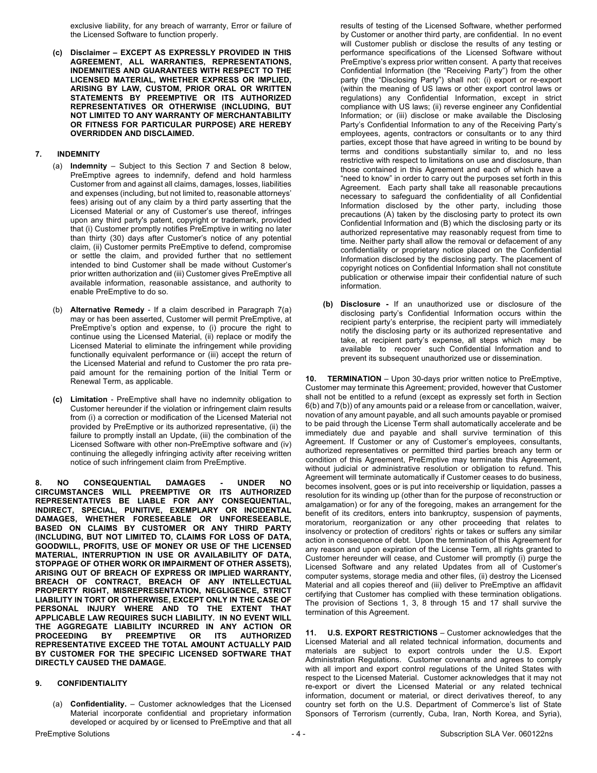exclusive liability, for any breach of warranty, Error or failure of the Licensed Software to function properly.

**(c) Disclaimer – EXCEPT AS EXPRESSLY PROVIDED IN THIS AGREEMENT, ALL WARRANTIES, REPRESENTATIONS, INDEMNITIES AND GUARANTEES WITH RESPECT TO THE LICENSED MATERIAL, WHETHER EXPRESS OR IMPLIED, ARISING BY LAW, CUSTOM, PRIOR ORAL OR WRITTEN STATEMENTS BY PREEMPTIVE OR ITS AUTHORIZED REPRESENTATIVES OR OTHERWISE (INCLUDING, BUT NOT LIMITED TO ANY WARRANTY OF MERCHANTABILITY OR FITNESS FOR PARTICULAR PURPOSE) ARE HEREBY OVERRIDDEN AND DISCLAIMED.**

## **7. INDEMNITY**

- (a) **Indemnity** Subject to this Section 7 and Section 8 below, PreEmptive agrees to indemnify, defend and hold harmless Customer from and against all claims, damages, losses, liabilities and expenses (including, but not limited to, reasonable attorneys' fees) arising out of any claim by a third party asserting that the Licensed Material or any of Customer's use thereof, infringes upon any third party's patent, copyright or trademark, provided that (i) Customer promptly notifies PreEmptive in writing no later than thirty (30) days after Customer's notice of any potential claim, (ii) Customer permits PreEmptive to defend, compromise or settle the claim, and provided further that no settlement intended to bind Customer shall be made without Customer's prior written authorization and (iii) Customer gives PreEmptive all available information, reasonable assistance, and authority to enable PreEmptive to do so.
- (b) **Alternative Remedy** If a claim described in Paragraph 7(a) may or has been asserted, Customer will permit PreEmptive, at PreEmptive's option and expense, to (i) procure the right to continue using the Licensed Material, (ii) replace or modify the Licensed Material to eliminate the infringement while providing functionally equivalent performance or (iii) accept the return of the Licensed Material and refund to Customer the pro rata prepaid amount for the remaining portion of the Initial Term or Renewal Term, as applicable.
- **(c) Limitation** PreEmptive shall have no indemnity obligation to Customer hereunder if the violation or infringement claim results from (i) a correction or modification of the Licensed Material not provided by PreEmptive or its authorized representative, (ii) the failure to promptly install an Update, (iii) the combination of the Licensed Software with other non-PreEmptive software and (iv) continuing the allegedly infringing activity after receiving written notice of such infringement claim from PreEmptive.

**8. NO CONSEQUENTIAL DAMAGES - UNDER NO CIRCUMSTANCES WILL PREEMPTIVE OR ITS AUTHORIZED REPRESENTATIVES BE LIABLE FOR ANY CONSEQUENTIAL, INDIRECT, SPECIAL, PUNITIVE, EXEMPLARY OR INCIDENTAL DAMAGES, WHETHER FORESEEABLE OR UNFORESEEABLE, BASED ON CLAIMS BY CUSTOMER OR ANY THIRD PARTY (INCLUDING, BUT NOT LIMITED TO, CLAIMS FOR LOSS OF DATA, GOODWILL, PROFITS, USE OF MONEY OR USE OF THE LICENSED MATERIAL, INTERRUPTION IN USE OR AVAILABILITY OF DATA, STOPPAGE OF OTHER WORK OR IMPAIRMENT OF OTHER ASSETS), ARISING OUT OF BREACH OF EXPRESS OR IMPLIED WARRANTY, BREACH OF CONTRACT, BREACH OF ANY INTELLECTUAL PROPERTY RIGHT, MISREPRESENTATION, NEGLIGENCE, STRICT LIABILITY IN TORT OR OTHERWISE, EXCEPT ONLY IN THE CASE OF PERSONAL INJURY WHERE AND TO THE EXTENT THAT APPLICABLE LAW REQUIRES SUCH LIABILITY. IN NO EVENT WILL THE AGGREGATE LIABILITY INCURRED IN ANY ACTION OR PROCEEDING BY PREEMPTIVE OR ITS AUTHORIZED REPRESENTATIVE EXCEED THE TOTAL AMOUNT ACTUALLY PAID BY CUSTOMER FOR THE SPECIFIC LICENSED SOFTWARE THAT DIRECTLY CAUSED THE DAMAGE.**

### **9. CONFIDENTIALITY**

(a) **Confidentiality.** – Customer acknowledges that the Licensed Material incorporate confidential and proprietary information developed or acquired by or licensed to PreEmptive and that all results of testing of the Licensed Software, whether performed by Customer or another third party, are confidential. In no event will Customer publish or disclose the results of any testing or performance specifications of the Licensed Software without PreEmptive's express prior written consent. A party that receives Confidential Information (the "Receiving Party") from the other party (the "Disclosing Party") shall not: (i) export or re-export (within the meaning of US laws or other export control laws or regulations) any Confidential Information, except in strict compliance with US laws; (ii) reverse engineer any Confidential Information; or (iii) disclose or make available the Disclosing Party's Confidential Information to any of the Receiving Party's employees, agents, contractors or consultants or to any third parties, except those that have agreed in writing to be bound by terms and conditions substantially similar to, and no less restrictive with respect to limitations on use and disclosure, than those contained in this Agreement and each of which have a "need to know" in order to carry out the purposes set forth in this Agreement. Each party shall take all reasonable precautions necessary to safeguard the confidentiality of all Confidential Information disclosed by the other party, including those precautions (A) taken by the disclosing party to protect its own Confidential Information and (B) which the disclosing party or its authorized representative may reasonably request from time to time. Neither party shall allow the removal or defacement of any confidentiality or proprietary notice placed on the Confidential Information disclosed by the disclosing party. The placement of copyright notices on Confidential Information shall not constitute publication or otherwise impair their confidential nature of such information.

**(b) Disclosure -** If an unauthorized use or disclosure of the disclosing party's Confidential Information occurs within the recipient party's enterprise, the recipient party will immediately notify the disclosing party or its authorized representative and take, at recipient party's expense, all steps which may be available to recover such Confidential Information and to prevent its subsequent unauthorized use or dissemination.

**10. TERMINATION** – Upon 30-days prior written notice to PreEmptive, Customer may terminate this Agreement; provided, however that Customer shall not be entitled to a refund (except as expressly set forth in Section 6(b) and 7(b)) of any amounts paid or a release from or cancellation, waiver, novation of any amount payable, and all such amounts payable or promised to be paid through the License Term shall automatically accelerate and be immediately due and payable and shall survive termination of this Agreement. If Customer or any of Customer's employees, consultants, authorized representatives or permitted third parties breach any term or condition of this Agreement, PreEmptive may terminate this Agreement, without judicial or administrative resolution or obligation to refund. This Agreement will terminate automatically if Customer ceases to do business, becomes insolvent, goes or is put into receivership or liquidation, passes a resolution for its winding up (other than for the purpose of reconstruction or amalgamation) or for any of the foregoing, makes an arrangement for the benefit of its creditors, enters into bankruptcy, suspension of payments, moratorium, reorganization or any other proceeding that relates to insolvency or protection of creditors' rights or takes or suffers any similar action in consequence of debt. Upon the termination of this Agreement for any reason and upon expiration of the License Term, all rights granted to Customer hereunder will cease, and Customer will promptly (i) purge the Licensed Software and any related Updates from all of Customer's computer systems, storage media and other files, (ii) destroy the Licensed Material and all copies thereof and (iii) deliver to PreEmptive an affidavit certifying that Customer has complied with these termination obligations. The provision of Sections 1, 3, 8 through 15 and 17 shall survive the termination of this Agreement.

**11. U.S. EXPORT RESTRICTIONS** – Customer acknowledges that the Licensed Material and all related technical information, documents and materials are subject to export controls under the U.S. Export Administration Regulations. Customer covenants and agrees to comply with all import and export control regulations of the United States with respect to the Licensed Material. Customer acknowledges that it may not re-export or divert the Licensed Material or any related technical information, document or material, or direct derivatives thereof, to any country set forth on the U.S. Department of Commerce's list of State Sponsors of Terrorism (currently, Cuba, Iran, North Korea, and Syria),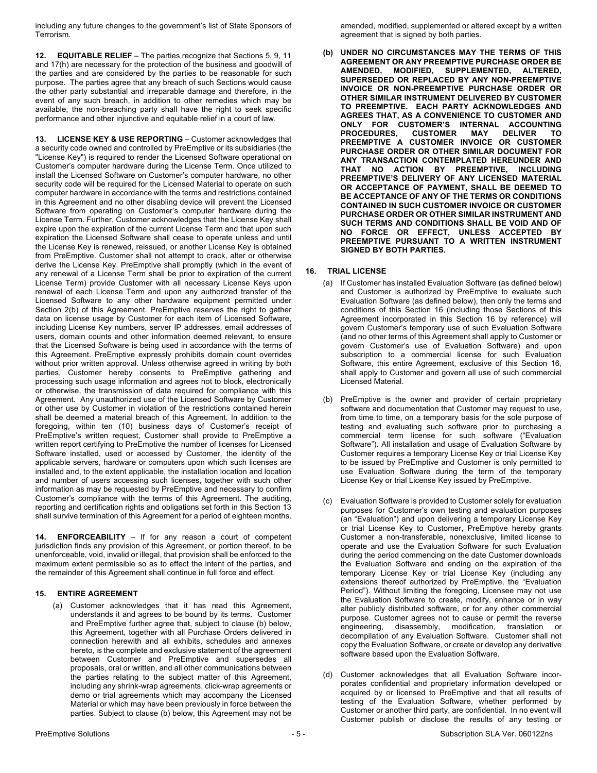including any future changes to the government's list of State Sponsors of Terrorism.

**12. EQUITABLE RELIEF** – The parties recognize that Sections 5, 9, 11 and 17(h) are necessary for the protection of the business and goodwill of the parties and are considered by the parties to be reasonable for such purpose. The parties agree that any breach of such Sections would cause the other party substantial and irreparable damage and therefore, in the event of any such breach, in addition to other remedies which may be available, the non-breaching party shall have the right to seek specific performance and other injunctive and equitable relief in a court of law.

**13. LICENSE KEY & USE REPORTING** – Customer acknowledges that a security code owned and controlled by PreEmptive or its subsidiaries (the "License Key") is required to render the Licensed Software operational on Customer's computer hardware during the License Term. Once utilized to install the Licensed Software on Customer's computer hardware, no other security code will be required for the Licensed Material to operate on such computer hardware in accordance with the terms and restrictions contained in this Agreement and no other disabling device will prevent the Licensed Software from operating on Customer's computer hardware during the License Term. Further, Customer acknowledges that the License Key shall expire upon the expiration of the current License Term and that upon such expiration the Licensed Software shall cease to operate unless and until the License Key is renewed, reissued, or another License Key is obtained from PreEmptive. Customer shall not attempt to crack, alter or otherwise derive the License Key. PreEmptive shall promptly (which in the event of any renewal of a License Term shall be prior to expiration of the current License Term) provide Customer with all necessary License Keys upon renewal of each License Term and upon any authorized transfer of the Licensed Software to any other hardware equipment permitted under Section 2(b) of this Agreement. PreEmptive reserves the right to gather data on license usage by Customer for each item of Licensed Software, including License Key numbers, server IP addresses, email addresses of users, domain counts and other information deemed relevant, to ensure that the Licensed Software is being used in accordance with the terms of this Agreement. PreEmptive expressly prohibits domain count overrides without prior written approval. Unless otherwise agreed in writing by both parties, Customer hereby consents to PreEmptive gathering and processing such usage information and agrees not to block, electronically or otherwise, the transmission of data required for compliance with this Agreement. Any unauthorized use of the Licensed Software by Customer or other use by Customer in violation of the restrictions contained herein shall be deemed a material breach of this Agreement. In addition to the foregoing, within ten (10) business days of Customer's receipt of PreEmptive's written request, Customer shall provide to PreEmptive a written report certifying to PreEmptive the number of licenses for Licensed Software installed, used or accessed by Customer, the identity of the applicable servers, hardware or computers upon which such licenses are installed and, to the extent applicable, the installation location and location and number of users accessing such licenses, together with such other information as may be requested by PreEmptive and necessary to confirm Customer's compliance with the terms of this Agreement. The auditing, reporting and certification rights and obligations set forth in this Section 13 shall survive termination of this Agreement for a period of eighteen months.

**14. ENFORCEABILITY** – If for any reason a court of competent jurisdiction finds any provision of this Agreement, or portion thereof, to be unenforceable, void, invalid or illegal, that provision shall be enforced to the maximum extent permissible so as to effect the intent of the parties, and the remainder of this Agreement shall continue in full force and effect.

### **15. ENTIRE AGREEMENT**

(a) Customer acknowledges that it has read this Agreement, understands it and agrees to be bound by its terms. Customer and PreEmptive further agree that, subject to clause (b) below, this Agreement, together with all Purchase Orders delivered in connection herewith and all exhibits, schedules and annexes hereto, is the complete and exclusive statement of the agreement between Customer and PreEmptive and supersedes all proposals, oral or written, and all other communications between the parties relating to the subject matter of this Agreement, including any shrink-wrap agreements, click-wrap agreements or demo or trial agreements which may accompany the Licensed Material or which may have been previously in force between the parties. Subject to clause (b) below, this Agreement may not be amended, modified, supplemented or altered except by a written agreement that is signed by both parties.

**(b) UNDER NO CIRCUMSTANCES MAY THE TERMS OF THIS AGREEMENT OR ANY PREEMPTIVE PURCHASE ORDER BE AMENDED, MODIFIED, SUPPLEMENTED, ALTERED, SUPERSEDED OR REPLACED BY ANY NON-PREEMPTIVE INVOICE OR NON-PREEMPTIVE PURCHASE ORDER OR OTHER SIMILAR INSTRUMENT DELIVERED BY CUSTOMER TO PREEMPTIVE. EACH PARTY ACKNOWLEDGES AND AGREES THAT, AS A CONVENIENCE TO CUSTOMER AND ONLY FOR CUSTOMER'S INTERNAL ACCOUNTING PROCEDURES, CUSTOMER MAY DELIVER TO PREEMPTIVE A CUSTOMER INVOICE OR CUSTOMER PURCHASE ORDER OR OTHER SIMILAR DOCUMENT FOR ANY TRANSACTION CONTEMPLATED HEREUNDER AND THAT NO ACTION BY PREEMPTIVE, INCLUDING PREEMPTIVE'S DELIVERY OF ANY LICENSED MATERIAL OR ACCEPTANCE OF PAYMENT, SHALL BE DEEMED TO BE ACCEPTANCE OF ANY OF THE TERMS OR CONDITIONS CONTAINED IN SUCH CUSTOMER INVOICE OR CUSTOMER PURCHASE ORDER OR OTHER SIMILAR INSTRUMENT AND SUCH TERMS AND CONDITIONS SHALL BE VOID AND OF NO FORCE OR EFFECT, UNLESS ACCEPTED BY PREEMPTIVE PURSUANT TO A WRITTEN INSTRUMENT SIGNED BY BOTH PARTIES.**

# **16. TRIAL LICENSE**

- (a) If Customer has installed Evaluation Software (as defined below) and Customer is authorized by PreEmptive to evaluate such Evaluation Software (as defined below), then only the terms and conditions of this Section 16 (including those Sections of this Agreement incorporated in this Section 16 by reference) will govern Customer's temporary use of such Evaluation Software (and no other terms of this Agreement shall apply to Customer or govern Customer's use of Evaluation Software) and upon subscription to a commercial license for such Evaluation Software, this entire Agreement, exclusive of this Section 16, shall apply to Customer and govern all use of such commercial Licensed Material.
- (b) PreEmptive is the owner and provider of certain proprietary software and documentation that Customer may request to use, from time to time, on a temporary basis for the sole purpose of testing and evaluating such software prior to purchasing a commercial term license for such software ("Evaluation Software"). All installation and usage of Evaluation Software by Customer requires a temporary License Key or trial License Key to be issued by PreEmptive and Customer is only permitted to use Evaluation Software during the term of the temporary License Key or trial License Key issued by PreEmptive.
- (c) Evaluation Software is provided to Customer solely for evaluation purposes for Customer's own testing and evaluation purposes (an "Evaluation") and upon delivering a temporary License Key or trial License Key to Customer, PreEmptive hereby grants Customer a non-transferable, nonexclusive, limited license to operate and use the Evaluation Software for such Evaluation during the period commencing on the date Customer downloads the Evaluation Software and ending on the expiration of the temporary License Key or trial License Key (including any extensions thereof authorized by PreEmptive, the "Evaluation Period"). Without limiting the foregoing, Licensee may not use the Evaluation Software to create, modify, enhance or in way alter publicly distributed software, or for any other commercial purpose. Customer agrees not to cause or permit the reverse engineering, disassembly, modification, translation or decompilation of any Evaluation Software. Customer shall not copy the Evaluation Software, or create or develop any derivative software based upon the Evaluation Software.
- (d) Customer acknowledges that all Evaluation Software incorporates confidential and proprietary information developed or acquired by or licensed to PreEmptive and that all results of testing of the Evaluation Software, whether performed by Customer or another third party, are confidential. In no event will Customer publish or disclose the results of any testing or